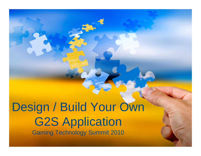Design / Build Your Own **G2S Application** Gaming Technology Summit 2010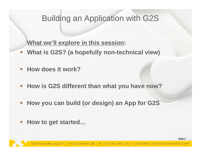## Building an Application with G2S

### **What we'll explore in this session:**

- $\Box$ **What is G2S? (a hopefully non-technical view)**
- **How does it work?**
- $\mathcal{L}^{\mathcal{A}}$ **How is G2S different than what you have now?**
- $\overline{\mathbb{R}}$ **How you can build (or design) an App for G2S**
- $\mathbb{R}^n$ **How to get started…**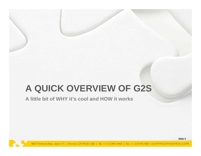# **A QUICK OVERVIEW OF G2S**

**A little bit of WHY it's cool and HOW it works**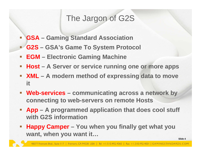# The Jargon of G2S

- **GSA – Gaming Standard Association**
- Ξ **G2S – GSA's Game To System Protocol**
- $\mathcal{L}_{\mathcal{A}}$ **EGM – Electronic Gaming Machine**
- $\mathcal{L}_{\mathcal{A}}$ **Host – A Server or service running one or more apps**
- **XML – A modern method of expressing data to move it**
- **Web-services – communicating across a network by connecting to web-servers on remote Hosts**
- **App – A programmed application that does cool stuff with G2S information**
- $\Box$  **Happy Camper – You when you finally get what you want, when you want it…**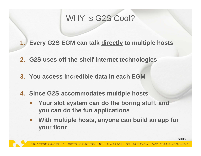# WHY is G2S Cool?

**1. Every G2S EGM can talk directly to multiple hosts**

- **2. G2S uses off-the-shelf Internet technologies**
- **3. You access incredible data in each EGM**
- **4. Since G2S accommodates multiple hosts**
	- $\mathcal{L}_{\mathcal{A}}$  **Your slot system can do the boring stuff, and you can do the fun applications**
	- $\mathcal{L}_{\mathcal{A}}$  **With multiple hosts, anyone can build an app for your floor**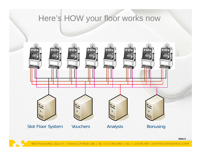# Here's HOW your floor works now



48377 Fremont Blvd., Suite | 17 | Fremont, CA 94538 USA | Tel: +1.510.492.4060 | Fax: +1.510.492.4001 | GAMINGSTANDARDS.COM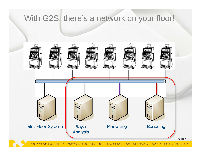# With G2S, there's a network on your floor!

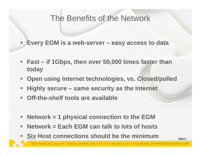## The Benefits of the Network

**Every EGM is a web-server – easy access to data**

- $\blacksquare^-$  **Fast – if 1Gbps, then over 50,000 times faster than today**
- $\mathbb{R}^n$ **Open using Internet technologies, vs. Closed/polled**
- $\mathcal{L}_{\mathcal{A}}$ **Highly secure – same security as the Internet**
- $\Box$  and **Off-the-shelf tools are available**

- $\mathbb{R}^n$ **Network = 1 physical connection to the EGM**
- $\overline{\phantom{a}}$ **Network = Each EGM can talk to lots of hosts**
- **Six Host connections should be the minimum**

**Slide 8**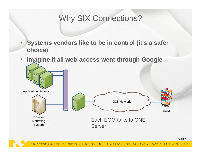# Why SIX Connections?

 **Systems vendors like to be in control (it's a safer choice)**

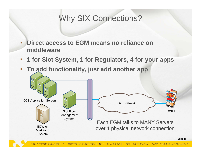# Why SIX Connections?

 **Direct access to EGM means no reliance on middleware**

- $\Box$ **1 for Slot System, 1 for Regulators, 4 for your apps**
- **To add functionality, just add another app**

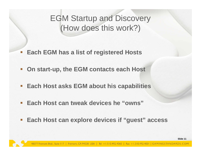EGM Startup and Discovery (How does this work?)

- Ξ, **Each EGM has a list of registered Hosts**
- 国王 **On start-up, the EGM contacts each Host**
- $\mathbb{R}^n$ **Each Host asks EGM about his capabilities**
- **Each Host can tweak devices he "owns"**
- $\mathcal{L}_{\mathcal{A}}$ **Each Host can explore devices if "guest" access**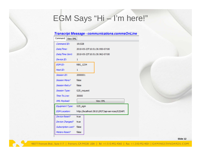# EGM Says "Hi – I'm here!"

### **Transcript Message - communications.commsOnLine**

| Command<br><b>View XML</b> |                                                |  |  |  |  |  |
|----------------------------|------------------------------------------------|--|--|--|--|--|
| Command ID:                | 191528                                         |  |  |  |  |  |
| Date/Time:                 | 2010-05-23T10:51:30.950-07:00                  |  |  |  |  |  |
| Date/Time Sent:            | 2010-05-23T10:51:30.962-07:00                  |  |  |  |  |  |
| Device ID:                 | 1                                              |  |  |  |  |  |
| <b>EGM ID:</b>             | RBG 1234                                       |  |  |  |  |  |
| Host ID:                   | 1                                              |  |  |  |  |  |
| Session ID:                | 2000001                                        |  |  |  |  |  |
| Session More?              | false                                          |  |  |  |  |  |
| Session Retry?             | false                                          |  |  |  |  |  |
| Session Type:              | G2S_request                                    |  |  |  |  |  |
| Time To Live:              | 30000                                          |  |  |  |  |  |
| XML-Payload:               | View XML                                       |  |  |  |  |  |
| Equipment Type:            | G2S_egm                                        |  |  |  |  |  |
| <i>EGM Location:</i>       | http://localhost:38101/RST/api-services/G2SAPI |  |  |  |  |  |
| <b>Device Reset?</b>       | true                                           |  |  |  |  |  |
| Device Changed?            | true                                           |  |  |  |  |  |
| Subscription Lost?         | false                                          |  |  |  |  |  |
| Meters Reset?              | false                                          |  |  |  |  |  |

**Slide 12**

48377 Fremont Blvd., Suite | 17 | Fremont, CA 94538 USA | Tel: +1.510.492.4060 | Fax: +1.510.492.4001 | GAMINGSTANDARDS.COM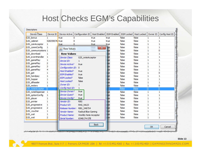# Host Checks EGM's Capabilities

| <b>Descriptors</b>   |              |                                                                                                                   |                       |                |             |            |                    |          |                |
|----------------------|--------------|-------------------------------------------------------------------------------------------------------------------|-----------------------|----------------|-------------|------------|--------------------|----------|----------------|
| Device Class         | Device ID    | Device Active                                                                                                     | Configuration ID      | Host Enabled   | EGM Enabled | EGM Locked | <b>Host Locked</b> | Owner ID | Config Host ID |
| G2S_bonus            | 1.           | true                                                                                                              | 0                     | true           | true        | false      | false              | 1        | 1              |
| G2S_cabinet          | 526059076    | true                                                                                                              | o                     | true           | true        | false      | false              | 1        | 1              |
| G2S_coinAcceptor     | 1            | true                                                                                                              | 0                     | true           | true        | false      | false              | 1        | 1              |
| G2S_commConfig       | 1            | <b>Row Values</b><br>画                                                                                            |                       | $\mathbf{x}$   | lue         | false      | false              | 1        | 1              |
| G2S_communications 1 |              |                                                                                                                   |                       | <b>SERVICE</b> | ue          | false      | false              | 1        | o              |
| G2S_download         | 1            | <b>Row Values</b>                                                                                                 |                       |                | ue          | false      | false              | 1        | 1              |
| G2S_eventHandler     | 1            | Device Class:                                                                                                     | G2S_noteAcceptor      |                | ue          | false      | false              | 1        | 1              |
| G2S_gamePlay         | 1            | Device ID:                                                                                                        | 1                     |                | ue          | false      | false              | 1        | 1              |
| G2S_gamePlay         | 2            | Device Active?                                                                                                    | true                  |                | ue          | false      | false              | 1        | 1              |
| G2S_gamePlay         | 3            | Configuration ID:                                                                                                 | $\mathbf{0}$          |                | ue          | false      | false              | 1        | 1              |
| G2S_gamePlay         | 4            | Host Enabled?                                                                                                     | true                  |                | ue          | false      | false              | 1        | 1              |
| G2S_gat              | 1            | <b>EGM Enabled?</b>                                                                                               | true                  |                | ue          | false      | false              | 1        | 0              |
| G2S_handpay          | 1            | EGM Locked?                                                                                                       | false                 |                | ue          | false      | false              | 1        | 1              |
| G2S_hopper           | 1            |                                                                                                                   | false                 |                | ue          | false      | false              | 1        | 1              |
| G2S_idReader         | 1            | Host Locked?                                                                                                      |                       |                | ue          | false      | false              | 1        | 1              |
| G2S meters           | 1            | Owner ID:                                                                                                         | $\mathbf{1}$          |                | ue          | false      | false              | 1        | 0              |
| G2S_noteAcceptor     | $\mathbf{1}$ | Config Host ID:                                                                                                   | 1                     |                | <b>Je</b>   | false      | false              | 1        | $\vert$ 1      |
| G2S_noteDispenser    | $\mathbf{1}$ | <i>Device Owner?</i>                                                                                              | true                  |                | ue          | false      | false              | 1        | 1              |
| G2S_optionConfig     | 1            | <b>Device Guest?</b>                                                                                              | true                  |                | ue          | false      | false              | 1        | 1              |
| G2S_player           | 1            | Device Config?                                                                                                    | true                  |                | ue          | false      | false              | 1        | 1              |
| G2S_printer          | 1            | Vendor ID:                                                                                                        | <b>RBG</b>            |                | ue          | false      | false              | 1        | 1              |
| G2S_progressive      | 1            | Product ID:                                                                                                       | RNG_NA23              |                | ue          | false      | false              | 1        | 1              |
| G2S_progressive      | 2            | Release Number:                                                                                                   | RBG 548754            |                | ue          | false      | false              | 1        | 1              |
| G2S_voucher          | 1            | Vendor Name:                                                                                                      | Radical Blue Gaming   |                | ue          | false      | false              | 1        | 1              |
| G2S_wat              | 1            | Product Name:                                                                                                     | Worldly Note Acceptor |                | ue          | false      | false              | 1        | 1              |
| G2S_wat              | 2            | Serial Number:                                                                                                    | 6548174-57B           |                | ue          | false      | false              | 1        | 1              |
|                      |              |                                                                                                                   |                       | <b>Back</b>    |             |            |                    | ОК       | Cancel         |
|                      |              | المراكبة المستنب والمستحقق والمستنب والمستنب والمستنب والمتناقب والمتناول والمتناول والمتناول والمتناول والمتناول |                       | しんきょうかんきょう     |             |            |                    |          |                |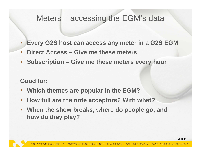## Meters – accessing the EGM's data

- **Every G2S host can access any meter in a G2S EGM**
- $\mathbb{R}^3$ **Philfraorie Headler Edge Exercise** Finance meters
- $\Box$ **Subscription – Give me these meters every hour**

**Good for:**

- **Which themes are popular in the EGM?**
- $\Box$ **How full are the note acceptors? With what?**
- **When the show breaks, where do people go, and how do they play?**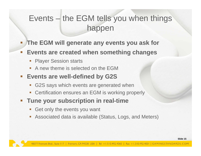# Events – the EGM tells you when things happen

- **The EGM will generate any events you ask for**
- $\overline{\mathbb{R}^2}$  **Events are created when something changes**
	- **Service Service** Player Session starts

- $\mathbb{R}^3$ A new theme is selected on the EGM
- $\Box$  **Events are well-defined by G2S**
	- $\mathbb{R}^n$ G2S says which events are generated when
	- er<br>1 Certification ensures an EGM is working properly
- $\Box$  - **Tune your subscription in real-time**
	- $\Box$ Get only the events you want
	- T. Associated data is available (Status, Logs, and Meters)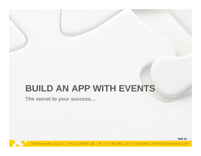# **BUILD AN APP WITH EVENTS**

**The secret to your success…**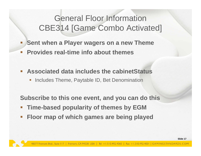# General Floor Information CBE314 [Game Combo Activated]

- **Sent when a Player wagers on a new Theme**
- $\mathbb{R}^3$ **Provides real-time info about themes**
- $\mathcal{L}_{\mathcal{A}}$  **Associated data includes the cabinetStatus**
	- **Includes Theme, Paytable ID, Bet Denomination**

**Subscribe to this one event, and you can do this**

- **Service Service Time-based popularity of themes by EGM**
- $\Box$ **Floor map of which games are being played**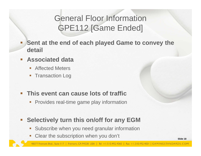# General Floor Information GPE112 [Game Ended]

 **Sent at the end of each played Game to convey the detail**

#### **Associated data**

- $\mathbb{R}^n$ Affected Meters
- $\mathbb{R}^3$ Transaction Log

#### **This event can cause lots of traffic**

**Provides real-time game play information** 

#### $\Box$ **Selectively turn this on/off for any EGM**

- $\mathbb{R}^n$ Subscribe when you need granular information
- $\overline{\phantom{a}}$ Clear the subscription when you don't

**Slide 18**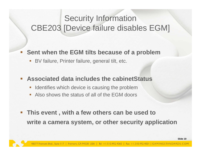# Security Information CBE203 [Device failure disables EGM]

#### $\mathcal{L}_{\mathcal{A}}$ **Sent when the EGM tilts because of a problem**

 $\Box$ BV failure, Printer failure, general tilt, etc.

#### $\mathcal{L}_{\mathcal{A}}$ **Associated data includes the cabinetStatus**

- $\Box$ Identifies which device is causing the problem
- **Service Service** Also shows the status of all of the EGM doors
- $\mathcal{L}_{\mathcal{A}}$  **This event , with a few others can be used to write a camera system, or other security application**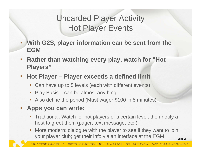# Uncarded Player Activity Hot Player Events

- **With G2S, player information can be sent from the EGM**
- $\Box$  **Rather than watching every play, watch for "Hot Players"**
- $\mathcal{L}_{\mathcal{A}}$  **Hot Player – Player exceeds a defined limit**
	- $\Box$ Can have up to 5 levels (each with different events)
	- $\overline{\phantom{a}}$ Play Basis – can be almost anything
	- er<br>1 Also define the period (Must wager \$100 in 5 minutes)

### **Apps you can write:**

- Traditional: Watch for hot players of a certain level, then notify a host to greet them (pager, text message, etc,(
- **Slide 20** $\mathbb{R}^n$  More modern: dialogue with the player to see if they want to join your player club; get their info via an interface at the EGM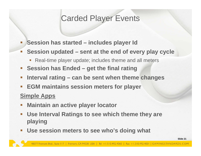# Carded Player Events

- $\Box$ **Session has started – includes player Id**
- $\Box$  **Session updated – sent at the end of every play cycle**
	- $\overline{\phantom{a}}$ Real-time player update; includes theme and all meters
- $\overline{\phantom{a}}$ **Session has Ended – get the final rating**
- $\mathbb{R}^3$ **Interval rating – can be sent when theme changes**
- $\overline{\phantom{a}}$ **EGM maintains session meters for player**

### **Simple Apps**

- **Maintain an active player locator**
- $\overline{\mathbb{R}^n}$  **Use Interval Ratings to see which theme they are playing**
- $\mathcal{L}_{\mathcal{A}}$ **Use session meters to see who's doing what**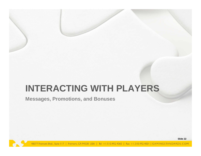# **INTERACTING WITH PLAYERS**

**Messages, Promotions, and Bonuses**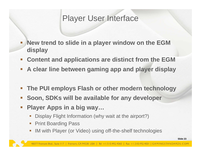## Player User Interface

- $\mathbb{R}^n$  **New trend to slide in a player window on the EGM display**
- $\Box$  . **Content and applications are distinct from the EGM**
- $\mathcal{L}_{\mathcal{A}}$ **A clear line between gaming app and player display**
- $\mathcal{L}_{\mathcal{A}}$ **The PUI employs Flash or other modern technology**
- **Soon, SDKs will be available for any developer**
- $\mathbb{R}^n$  **Player Apps in a big way…**
	- $\mathbb{R}^n$ Display Flight Information (why wait at the airport?)
	- $\Box$ Print Boarding Pass
	- $\mathbb{R}^n$ IM with Player (or Video) using off-the-shelf technologies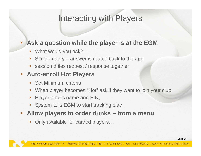## Interacting with Players

### **Ask a question while the player is at the EGM**

 $\mathbb{R}^n$ What would you ask?

- $\overline{\phantom{a}}$ Simple query – answer is routed back to the app
- er<br>1 sessionId ties request / response together

### **Auto-enroll Hot Players**

- **Set Minimum criteria**
- $\mathcal{C}^{\mathcal{A}}$ When player becomes "Hot" ask if they want to join your club
- $\Box$ Player enters name and PIN,
- $\mathcal{C}_{\mathcal{A}}$ System tells EGM to start tracking play
- $\Box$  **Allow players to order drinks – from a menu**
	- $\Box$ Only available for carded players…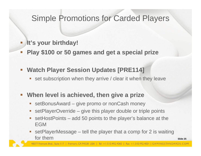## Simple Promotions for Carded Players

#### **It's your birthday!**

- $\mathcal{L}_{\mathcal{A}}$ **Play \$100 or 50 games and get a special prize**
- $\mathcal{L}_{\mathcal{A}}$  **Watch Player Session Updates [PRE114]**
	- $\Box$ set subscription when they arrive / clear it when they leave

#### $\mathbb{R}^n$ **When level is achieved, then give a prize**

- er<br>1 setBonusAward – give promo or nonCash money
- er<br>1 setPlayerOverride – give this player double or triple points
- $\mathcal{C}$  setHostPoints – add 50 points to the player's balance at the EGM
- $\mathbb{R}^n$  setPlayerMessage – tell the player that a comp for 2 is waiting for them

**Slide 25**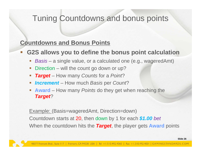## Tuning Countdowns and bonus points

### **Countdowns and Bonus Points**

#### **G2S allows you to define the bonus point calculation**

- $\Box$ *Basis* – a single value, or a calculated one (e.g., wageredAmt)
- $\mathcal{L}_{\mathcal{A}}$ **Direction** – will the count go down or up?
- $\mathbb{R}^n$ *Target* – How many *Counts* for a *Point*?
- $\Box$ *Increment* – How much *Basis* per *Count*?
- $\blacksquare$  **Award** – How many *Points* do they get when reaching the *Target*?

Example: (Basis=wageredAmt, Direction=down) Countdown starts at 20, then down by 1 for each *\$1.00 bet* When the countdown hits the *Target*, the player gets **Award** points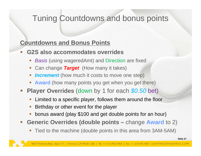## Tuning Countdowns and bonus points

### **Countdowns and Bonus Points**

- **G2S also accommodates overrides**
	- **Service Service Basis (using wageredAmt) and Direction are fixed**
	- **Service Service** Can change *Target* (How many it takes)
	- $\overline{\phantom{a}}$ **Increment** (how much it costs to move one step)
	- er<br>1 **Award** (how many points you get when you get there)
- $\mathbb{R}^n$  **Player Overrides** (down by 1 for each *\$0.50* bet)
	- $\Box$ Limited to a specific player, follows them around the floor
	- $\overline{\phantom{a}}$ Birthday or other event for the player
	- **Service Service** bonus award (play \$100 and get double points for an hour)
- $\Box$  **Generic Overrides (double points –** change **Award** to 2)
	- **Service Service** Tied to the machine (double points in this area from 3AM-5AM)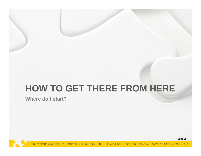# **HOW TO GET THERE FROM HERE**

**Where do I start?**

**Slide 28**

48377 Fremont Blvd., Suite | 17 | Fremont, CA 94538 USA | Tel: +1.510.492.4060 | Fax: +1.510.492.4001 | GAMINGSTANDARDS.COM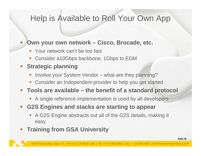# Help is Available to Roll Your Own App

#### **Service Service Own your own network – Cisco, Brocade, etc.**

- $\mathcal{L}_{\mathcal{A}}$ Your network can't be too fast
- $\Box$ Consider a10Gbps backbone, 1Gbps to EGM

### **Strategic planning**

- $\overline{\phantom{a}}$ Involve your System Vendor – what are they planning?
- $\Box$ Consider an Independent provider to help you get started
- **Tools are available – the benefit of a standard protocol**
	- A single reference implementation is used by all developers
- **G2S Engines and stacks are starting to appear**
	- $\Box$  A G2S Engine abstracts out all of the G2S details, making it easy
- **Service Service Training from GSA University**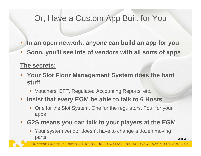# Or, Have a Custom App Built for You

- **In an open network, anyone can build an app for you**
- H. **Soon, you'll see lots of vendors with all sorts of apps**

### **The secrets:**

- **Your Slot Floor Management System does the hard stuff**
	- Vouchers, EFT, Regulated Accounting Reports, etc.
- **Figure 10 Figure 10 Figure 10 Figure 10 Figure 10 Figure 10 Figure 10 Figure 10 Figure 10 Figure 10 Figure 10 Figure 10 Figure 10 Figure 10 Figure 10 Figure 10 Figure 10 Figure 10 Figure 10 Figure 10 Figure 10 Figure 10 F** 
	- $\mathbb{R}^n$  One for the Slot System, One for the regulators, Four for your apps

#### p. **G2S means you can talk to your players at the EGM**

er<br>1 Your system vendor doesn't have to change a dozen moving parts.

**Slide 30**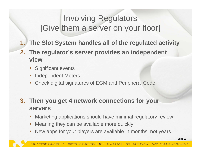# Involving Regulators [Give them a server on your floor]

- **1. The Slot System handles all of the regulated activity**
- **2. The regulator's server provides an independent view**
	- er<br>1 Significant events
	- er<br>1 Independent Meters
	- $\mathbb{R}^n$ Check digital signatures of EGM and Peripheral Code
- **3. Then you get 4 network connections for your servers**
	- T. Marketing applications should have minimal regulatory review
	- **Service Service** Meaning they can be available more quickly
	- **Service Service** New apps for your players are available in months, not years.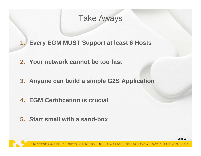## Take Aways

- **1. Every EGM MUST Support at least 6 Hosts**
- **2. Your network cannot be too fast**
- **3. Anyone can build a simple G2S Application**
- **4. EGM Certification is crucial**
- **5. Start small with a sand-box**